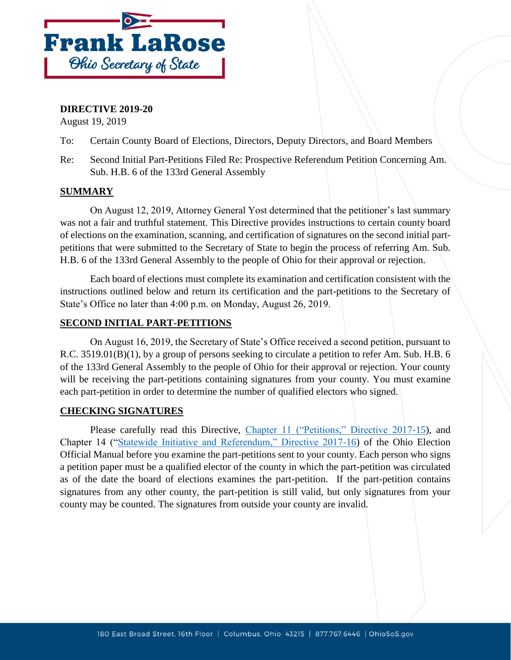

### **DIRECTIVE 2019-20**

August 19, 2019

- To: Certain County Board of Elections, Directors, Deputy Directors, and Board Members
- Re: Second Initial Part-Petitions Filed Re: Prospective Referendum Petition Concerning Am. Sub. H.B. 6 of the 133rd General Assembly

## **SUMMARY**

On August 12, 2019, Attorney General Yost determined that the petitioner's last summary was not a fair and truthful statement. This Directive provides instructions to certain county board of elections on the examination, scanning, and certification of signatures on the second initial partpetitions that were submitted to the Secretary of State to begin the process of referring Am. Sub. H.B. 6 of the 133rd General Assembly to the people of Ohio for their approval or rejection.

Each board of elections must complete its examination and certification consistent with the instructions outlined below and return its certification and the part-petitions to the Secretary of State's Office no later than 4:00 p.m. on Monday, August 26, 2019.

### **SECOND INITIAL PART-PETITIONS**

On August 16, 2019, the Secretary of State's Office received a second petition, pursuant to R.C. 3519.01(B)(1), by a group of persons seeking to circulate a petition to refer Am. Sub. H.B. 6 of the 133rd General Assembly to the people of Ohio for their approval or rejection. Your county will be receiving the part-petitions containing signatures from your county. You must examine each part-petition in order to determine the number of qualified electors who signed.

#### **CHECKING SIGNATURES**

Please carefully read this Directive, [Chapter 11 \("Petitions," Directive 2017-15\)](https://www.sos.state.oh.us/globalassets/elections/directives/2017/dir2017-15_eom_ch_11.pdf), and Chapter 14 (["Statewide Initiative and Referendum," Directive 2017-16\)](https://www.sos.state.oh.us/globalassets/elections/directives/2017/dir2017-16_eom_ch_14.pdf) of the Ohio Election Official Manual before you examine the part-petitions sent to your county. Each person who signs a petition paper must be a qualified elector of the county in which the part-petition was circulated as of the date the board of elections examines the part-petition. If the part-petition contains signatures from any other county, the part-petition is still valid, but only signatures from your county may be counted. The signatures from outside your county are invalid.